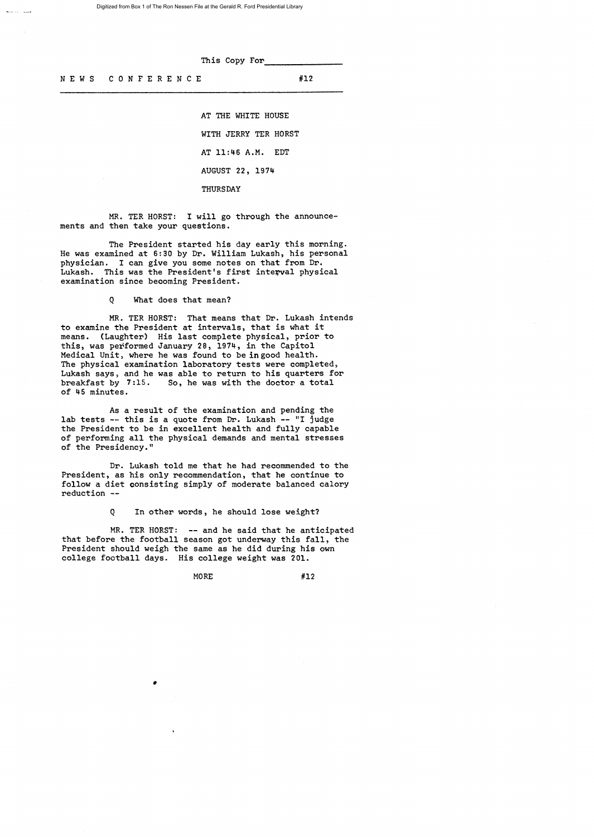This Copy For

د.<br>مسروف الاستخدام

AT THE WHITE HOUSE WITH JERRY TER HORST AT 11:46 A.M. EDT AUGUST 22, 1974 THURSDAY

MR. TER HORST: I will go through the announcements and then take your questions.

The President started his day early this morning. He was examined at 6:30 by Dr. William Lukash, his personal<br>physician. I can give you some notes on that from Dr. I can give you some notes on that from Dr. Lukash. This was the President's first interval physical examination since becoming President.

Q What does that mean?

MR. TER HORST: That means that Dr. Lukash intends to examine the President at intervals, that is what it means. (Laughter) His last complete physical, prior to this, was performed January 28, 1974, in the Capitol Medical Unit, where he was found to be in good health. The physical examination laboratory tests were completed, Lukash says, and he was able to return to his quarters for breakfast by 7:15. So, he was with the doctor a total of 45 minutes.

As a result of the examination and pending the lab tests -- this is a quote from Dr. Lukash -- "I judge the President to be in excellent health and fully capable of performing all the physical demands and mental stresses of the Presidency."

Dr. Lukash told me that he had recommended to the President, as his only recommendation, that he continue to follow a diet consisting simply of moderate balanced calory reduction

Q In other words, he should lose weight?

MR. TER HORST: -- and he said that he anticipated that before the football season got underway this fall, the President should weigh the same as he did during his own college football days. His college weight was 201.

N E W S C O N F E R E N C E #12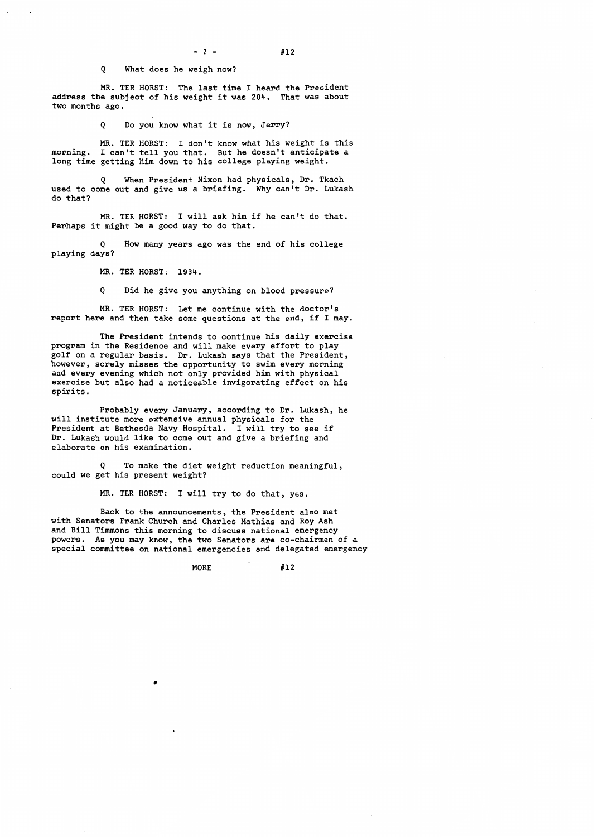Q What does he weigh now?

MR. TER HORST: The last time I heard the President address the subject of his weight it was 204. That was about two months ago.

Q Do you know what it is now, Jerry?

MR. TER HORST: I don't know what his weight is this morning. I can't tell you that. But he doesn't anticipate a long time getting Him down to his college playing weight.

Q When President Nixon had physicals, Dr. Tkach used to come out and give us a briefing. Why can't Dr. Lukash do that?

MR. TERHORST: I will ask him *if* he can't do that. Perhaps it might be a good way to do that.

How many years ago was the end of his college playing days?

MR. TER HORST: 1934.

Q Did he give you anything on blood pressure?

MR. TER HORST: Let me continue with the doctor's report here and then take some questions at the end, *if* I may.

The President intends to continue his daily exercise program in the Residence and will make every effort to play golf on a regular basis. Dr. Lukash says that the President, however, sorely misses the opportunity to swim every morning and every evening which not only provided him with physical exercise but also had a noticeable invigorating effect on his spirits.

Probably every January, according to Dr. Lukash, he will institute more extensive annual physicals for the President at Bethesda Navy Hospital. I will try to see *if*  Dr. Lukash would like to come out and give a briefing and elaborate on his examination.

Q To make the diet weight reduction meaningful, could we get his present weight?

MR. TER HORST: I will try to do that, yes.

Back to the announcements, the President also met with Senators Frank Church and Charles Mathias and Roy Ash and Bill Timmons this morning to discuss national emergency powers. As you may know, the two Senators are co-chairmen of a special committee on national emergencies and delegated emergency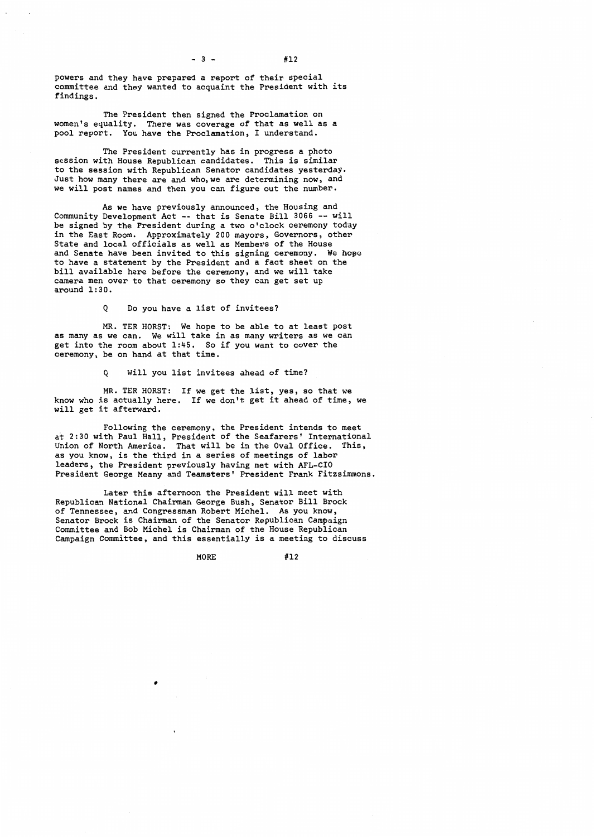$- 3 - 412$ 

powers and they have prepared a report of their special committee and they wanted to acquaint the President with its findings.

The President then signed the Proclamation on women's equality. There was coverage of that as well as a pool report. You have the Proclamation, I understand.

The President currently has in progress a photo session with House Republican candidates. This is similar to the session with Republican Senator candidates yesterday. Just how many there are and who,we are determining now, and we will post names and then you can figure out the number.

As we have previously announced, the Housing and Community Development Act -- that is Senate Bill 3066 -- will be signed by the President during a two o'clock ceremony today in the East Room. Approximately 200 mayors, Governors, other State and local officials as well as Members of the House and Senate have been invited to this signing ceremony. We hope to have a statement by the President and a fact sheet on the bill available here before the ceremony, and we will take camera men over to that ceremony so they can get set up around 1:30.

Q Do you have a list of invitees?

MR. TER HORST: We hope to be able to at least post as many as we can. We will take in as many writers as we can get into the room about 1:45. So if you want to cover the ceremony, be on hand at that time.

Q Will you list invitees ahead of time?

MR. TER HORST: If we get the list, yes, so that we know who is actually here. If we don't get it ahead of time, we will get it afterward.

Following the ceremony, the President intends to meet at 2:30 with Paul Hall, President of the Seafarers' International<br>Union of North America. That will be in the Oval Office. This, Union of North America. That will be in the Oval Office. as you know, is the third in a series of meetings of labor leaders, the President previously having met with AFL-CIO President George Meany and Teamsters' President Frank Fitzsimmons.

Later this afternoon the President will meet with Republican National Chairman George Bush, Senator Bill Brock of Tennessee, and Congressman Robert Michel. As you know, Senator Brock is Chairman of the Senator Republican Campaign Committee and Bob Michel is Chairman of the House Republican Campaign Committee, and this essentially is a meeting to discuss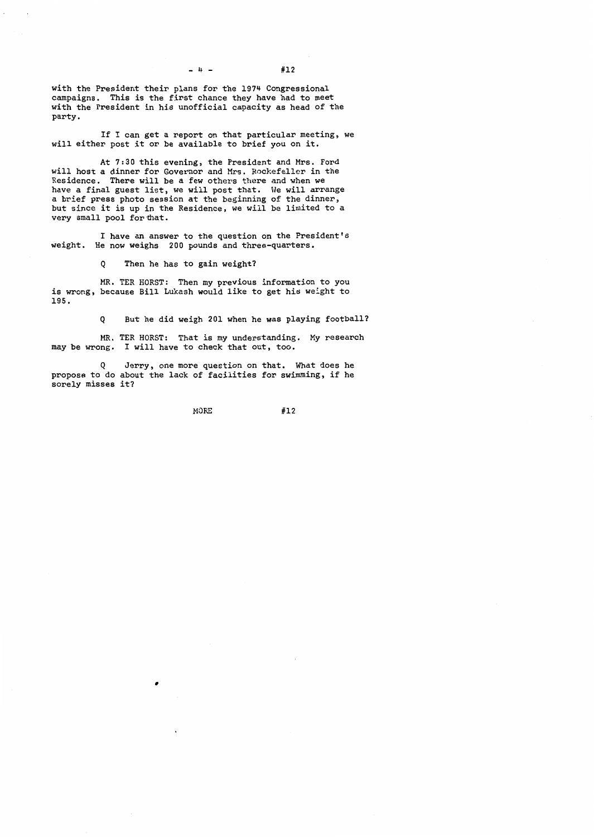$- 4 - 412$ 

with the President their plans for the 1974 Congressional campaigns. This is the first chance they have had to meet with the President in his unofficial capacity as head of the party.

If I can get a report on that particular meeting, we will either post it or be available to brief you on it.

At 7:30 this evening, the President and Mrs. Ford will host a dinner for Governor and Mrs. Rockefeller in the Residence. There will be a few others there and when we have a final guest list, we will post that. We will arrange a brief press photo session at the beginning of the dinner, but since it is up in the Residence, we will be limited to a very small pool for that.

I have an answer to the question on the President's weight. He now weighs 200 pounds and three-quarters.

Q Then he has to gain weight?

MR. TER HORST: Then my previous information to you is wrong, because Bill Lukash would like to get his weight to 195.

Q But he did weigh 201 when he was playing football?

MR. TER HORST: That is my understanding. My research may be wrong. I will have to check that out, too.

Q Jerry, one more question on that. What does he propose to do about the lack of facilities for swimming, if he sorely misses it?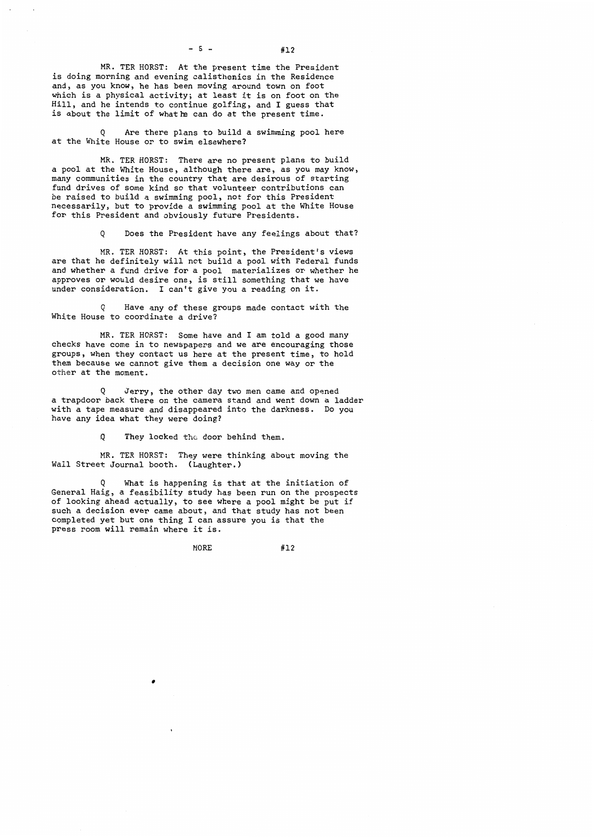MR. TER HORST: At the present time the President is doing morning and evening calisthenics in the Residence and, as you know, he has been moving around town on foot which is a physical activity; at least it is on foot on the Hill, and he intends to continue golfing, and I guess that is about the limit of whathe can do at the present time.

Q Are there plans to build a swimming pool here at the White House or to swim elsewhere?

MR. TER HORST: There are no present plans to build a pool at the White House, although there are, as you may know, many communities in the country that are desirous of starting fund drives of some kind so that volunteer contributions can be raised to build a swimming pool, not for this President necessarily, but to provide a swimming pool at the White House for this President and obviously future Presidents.

Q Does the President have any feelings about that?

MR. TER HORST: At this point, the President's views are that he definitely will not build a pool with Federal funds and whether a fund drive for a pool materializes or whether he approves or would desire one, is still something that we have under consideration. I can't give you a reading on it.

Q Have any of these groups made contact with the White House to coordinate a drive?

MR. TER HORST: Some have and I am told a good many checks have come in to newspapers and we are encouraging those groups, when they contact us here at the present time, to hold them because we cannot give them a decision one way or the other at the moment.

Q Jerry, the other day two men came and opened a trapdoor back there on the camera stand and went down a ladder with a tape measure and disappeared into the darkness. Do you have any idea what they were doing?

Q They looked the door behind them.

MR. TER HORST: They were thinking about moving the Wall Street Journal booth. (Laughter.)

Q What is happening is that at the initiation of General Haig, a feasibility study has been run on the prospects of looking ahead actually, to see where a pool might be put if such a decision ever came about, and that study has not been completed yet but one thing I can assure you is that the press room will remain where it is.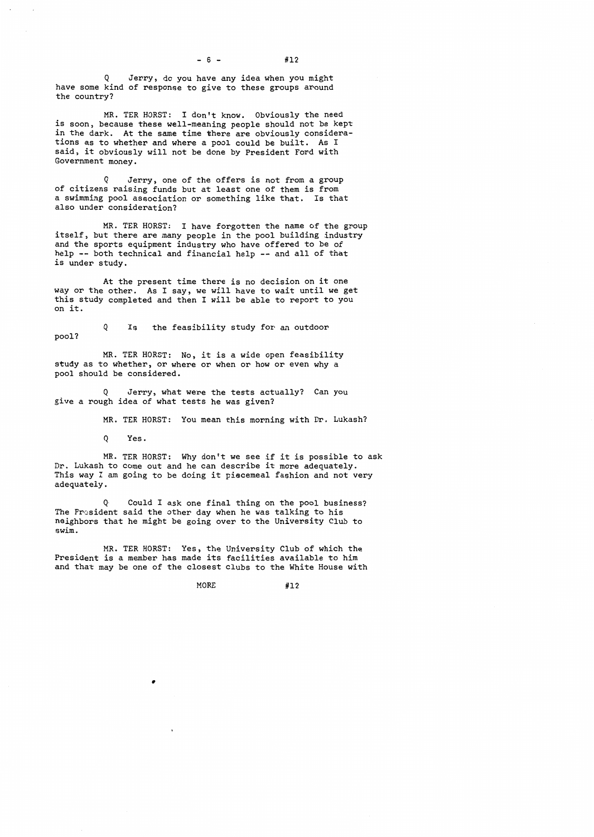$- 6 - 412$ 

Jerry, do you have any idea when you might have some kind of response to give to these groups around the country?

MR. TER HORST: I don't know. Obviously the need is soon, because these well-meaning people should not be kept in the dark. At the same time there are obviously considera-<br>tions as to whether and where a pool could be built. As I tions as to whether and where a pool could be built. said, it obviously will not be done by President Ford with Government money.

Q Jerry, one of the offers is not from a group of citizens raising funds but at least one of them is from a swimming pool association or something like that. Is that also under consideration?

MR. TER HORST: I have forgotten the name of the group itself, but there are many people in the pool building industry and the sports equipment industry who have offered to be of help -- both technical and financial help -- and all of that is under study.

At the present time there is no decision on it one way or the other. As I say, we will have to wait until we get this study completed and then I will be able to report to you on it.

Q Is the feasibility study for an outdoor pool?

MR. TER HORST: No, it is a wide open feasibility study as to whether, or where or when or how or even why a pool should be considered.

Q Jerry, what were the tests actually? Can you give a rough idea of what tests he was given?

MR. TER HORST: You mean this morning with Dr. Lukash?

Q Yes.

MR. TER HORST: Why don't we see if it is possible to ask Dr. Lukash to come out and he can describe it more adequately. This way I am going to be doing it piecemeal fashion and not very adequately.

Q Could I ask one final thing on the pool business? The President said the other day when he was talking to his neighbors that he might be going over to the University Club to swim.

MR. TER HORST: Yes, the University Club of which the President is a member has made its facilities available to him and that may be one of the closest clubs to the White House with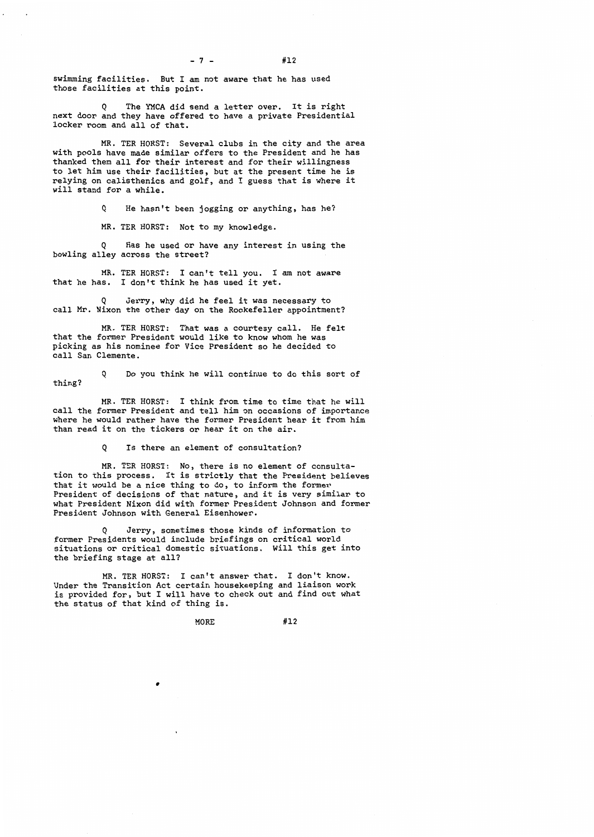$- 7 - 412$ 

swimming facilities. But I am not aware that he has used those facilities at this point.

The YMCA did send a letter over. It is right next door and they have offered to have a private Presidential locker room and all of that.

MR. TER HORST: Several clubs in the city and the area with pools have made similar offers to the President and he has thanked them all for their interest and for their willingness to let him use their facilities, but at the present time he is relying on calisthenics and golf, and I guess that is where it will stand for a while.

Q He hasn't been jogging or anything, has he?

MR. TER HORST: Not to my knowledge.

Has he used or have any interest in using the bowling alley across the street?

MR. TER HORST: I can't tell you. I am not aware that he has. I don't think he has used it yet.

Jerry, why did he feel it was necessary to call Mr. Nixon the other day on the Rockefeller appointment?

MR. TER HORST: That was a courtesy call. He felt that the former President would like to know whom he was picking as his nominee for Vice President so he decided to call San Clemente.

Q Do you think he will continue to do this sort of thing?

MR. TER HORST: I think from time to time that he will call the former President and tell him on occasions of importance where he would rather have the former President hear it from him than read it on the tickers or hear it on the air.

Q Is there an element of consultation?

MR. TER HORST: No, there *is* no element of consultation to this process. It is strictly that the President believes that it would be a nice thing to do, to inform the former President of decisions of that nature, and it is very similar to what President Nixon did with former President Johnson and former President Johnson with General Eisenhower.

Q Jerry, sometimes those kinds of information to former Presidents would include briefings on critical world situations or critical domestic situations. Will this get into the briefing stage at all?

MR. TER HORST: I can't answer that. I don't know. Under the Transition Act certain housekeeping and liaison work is provided for, but I will have to check out and find out what the status of that kind of thing is.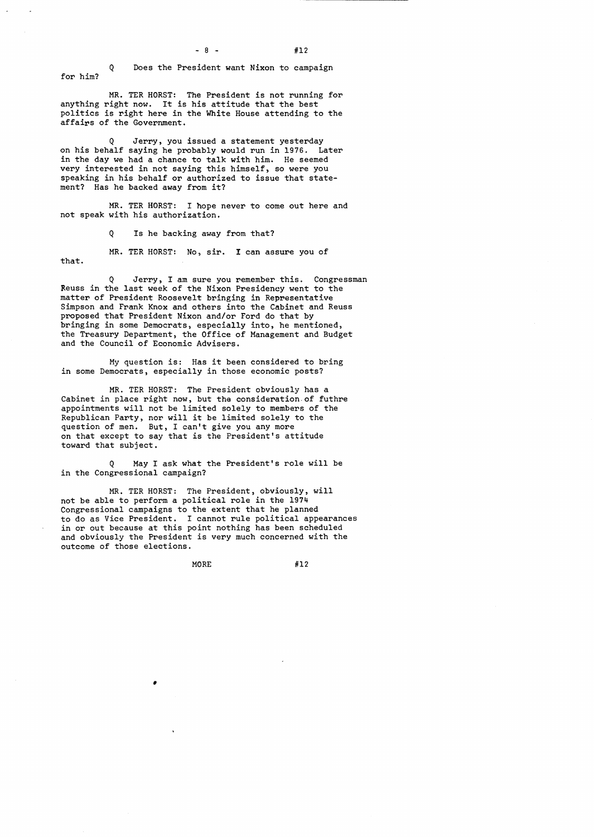Q Does the President want Nixon to campaign for him?

MR. TER HORST: The President is not running for anything right now. It is his attitude that the best politics is right here in the White House attending to the affairs of the Government.

Q Jerry, you issued a statement yesterday on his behalf saying he probably would run in 1976. Later in the day we had a chance to talk with him. He seemed very interested in not saying this himself, so were you speaking in his behalf or authorized to issue that statement? Has he backed away from it?

MR. TER HORST: I hope never to come out here and not speak with his authorization.

Q Is he backing away from that?

MR. TER HORST: No, sir. I can assure you of that.

Q Jerry, I am sure you remember this. Congressman Reuss in the last week of the Nixon Presidency went to the matter of President Roosevelt bringing in Representative Simpson and Frank Knox and others into the Cabinet and Reuss proposed that President Nixon and/or Ford do that by bringing in some Democrats, especially into, he mentioned, the Treasury Department, the Office of Management and Budget and the Council of Economic Advisers.

My question is: Has it been considered to bring in some Democrats, especially in those economic posts?

MR. TER HORST: The President obviously has a Cabinet in place right now, but the consideration-of futhre appointments will not be limited solely to members of the Republican Party, nor will it be limited solely to the question of men. But, I can't give you any more on that except to say that is the President's attitude toward that subject.

Q May I ask what the President's role will be in the Congressional campaign?

MR. TER HORST: The President, obviously, will not be able to perform a political role in the 1974 Congressional campaigns to the extent that he planned to do as Vice President. I cannot rule political appearances in or out because at this point nothing has been scheduled and obviously the President is very much concerned with the outcome of those elections.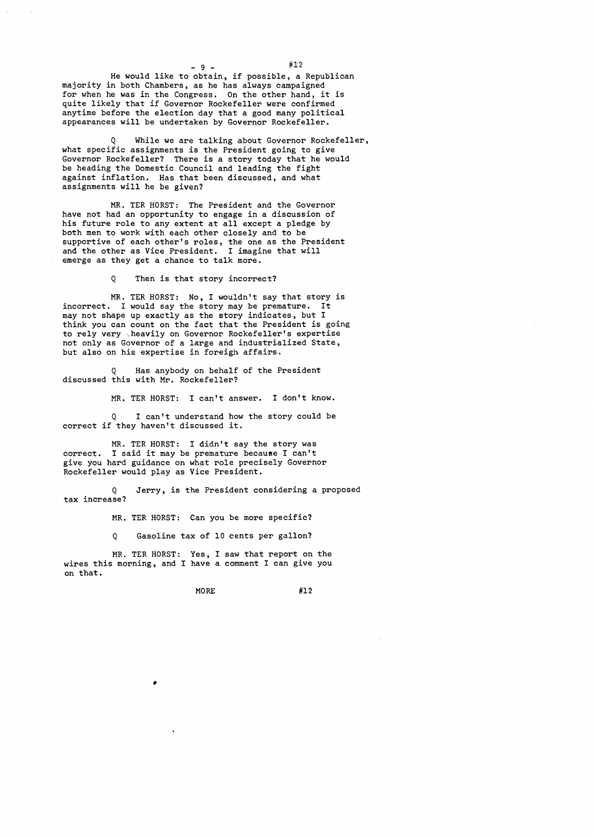$-9 \#12$ 

He would like to obtain, if possible, a Republican majority in both Chambers, as he has always campaigned for when he was in the Congress. On the other hand, it is quite likely that if Governor Rockefeller were confirmed anytime before the election day that a good many political appearances will be undertaken by Governor Rockefeller.

Q While we are talking about Governor Rockefeller, what specific assignments is the President going to give Governor Rockefeller? There is a story today that he would be heading the Domestic Council and leading the fight against inflation. Has that been discussed, and what assignments will he be given?

MR. TER HORST: The President and the Governor have not had an opportunity to engage in a discussion of his future role to any extent at all except a pledge by both men to work with each other closely and to be supportive of each other's roles, the one as the President and the other as Vice President. I imagine that will emerge as they get a chance to talk more.

Q Then is that story incorrect?

MR. TER HORST: No, I wouldn't say that story is incorrect. I would say the story may be premature. It may not shape up exactly as the story indicates, but <sup>I</sup> think you can count on the fact that the President is going to rely very ·.heavily on Governor Rockefeller's expertise not only as Governor of a large and industrialized State, but also on his expertise in foreign affairs.

Has anybody on behalf of the President discussed this with Mr. Rockefeller?

MR. TER HORST: I can't answer. I don't know.

Q I can't understand how the story could be correct if they haven't discussed it.

MR. TER HORST: I didn't say the story was correct. I said it may be premature because I can't give you hard guidance on what role precisely Governor Rockefeller would play as Vice President.

Q Jerry, is the President considering a proposed tax increase?

MR. TER HORST: Can you be more specific?

Q Gasoline tax of 10 cents per gallon?

MR. TER HORST: Yes, I saw that report on the wires this morning, and I have a comment I can give you on that.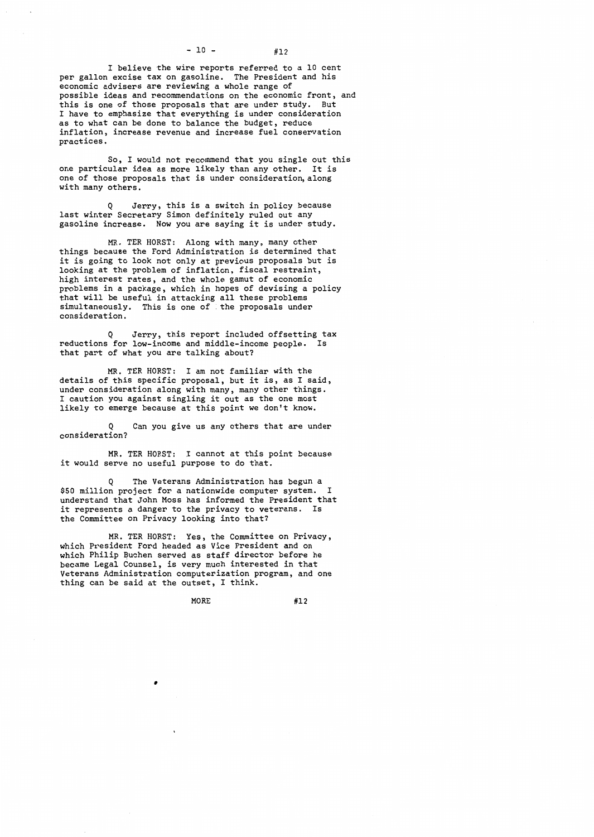I believe the wire reports referred to a 10 cent per gallon excise tax on gasoline. The President and his economic advisers are reviewing a whole range of possible ideas and recommendations on the economic front, and this *is* one of those proposals that are under study. But I have to emphasize that everything *is* under consideration as to what can be done to balance the budget, reduce inflation, increase revenue and increase fuel conservation practices.

So, I would not recommend that you single out this one particular idea as more likely than any other. It is one of those proposals that *is* under consideration,along with many others.

Q Jerry, this *is* a switch in policy because last winter Secretary Simon definitely ruled out any gasoline increase. Now you are saying it is under study.

MR. TER HORST: Along with many, many other things because the Ford Administration is determined that it is going to look not only at previous proposals but *is*  looking at the problem of inflation, fiscal restraint, high interest rates, and the whole gamut of economic problems in a package, which in hopes of devising a policy that will be useful in attacking all these problems simultaneously. This is one of the proposals under consideration.

Q Jerry, this report included offsetting tax reductions for low-income and middle-income people. Is that part of what you are talking about?

MR. TER HORST: I am not familiar with the details of this specific proposal, but it *is,* as I said, under consideration along with many, many other things. I caution you against singling it out as the one most likely to emerge because at this point we don't know.

Can you give us any others that are under consideration?

MR. TER HORST: I cannot at this point because it would serve no useful purpose to do that.

Q The Veterans Administration has begun a \$50 million project for a nationwide computer system. I understand that John Moss has informed the President that it represents a danger to the privacy to veterans. Is the Committee on Privacy looking into that?

MR. TER HORST: Yes, the Committee on Privacy, which President Ford headed as Vice President and on which Philip Buchen served as staff director before he became Legal Counsel, *is* very much interested in that Veterans Administration computerization program, and one thing can be said at the outset, I think.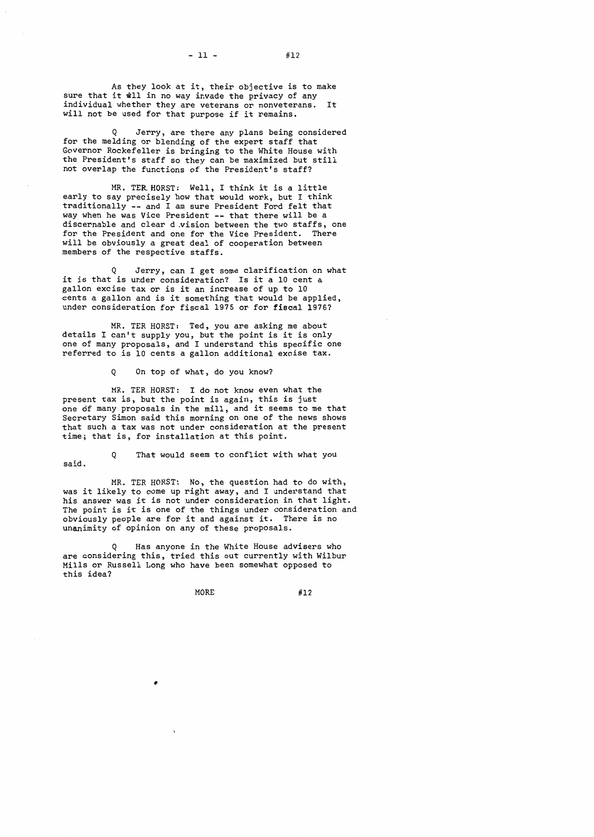As they look at it, their objective is to make

sure that it will in no way invade the privacy of any individual whether they are veterans or nonveterans. It will not be used for that purpose if it remains.

Jerry, are there any plans being considered for the melding or blending of the expert staff that Governor Rockefeller is bringing to the White House with the President's staff so they can be maximized but still not overlap the functions of the President's staff?

MR. TER.HORST: Well, I think it is a little early to say precisely how that would work, but I think traditionally -- and I am sure President Ford felt that way when he was Vice President -- that there will be a discernable and clear d vision between the two staffs, one<br>for the President and one for the Vice President. There for the President and one for the Vice President. will be obviously a great deal of cooperation between members of the respective staffs.

Jerry, can I get some clarification on what it is that is under consideration? Is it a 10 cent a gallon excise tax or is it an increase of up to 10 gallon castle that is the sense that would be applied, under consideration for fiscal 1975 or for fiscal 1976?

MR. TER HORST: Ted, you are asking me about details I can't supply you, but the point is it is only one of many proposals, and I understand this specific one referred to is 10 cents a gallon additional excise tax.

Q On top of what, do you know?

MR. TER HORST: I do not know even what the present tax is, but the point is again, this is just one of many proposals in the mill, and it seems to me that Secretary Simon said this morning on one of the news shows that such a tax was not under consideration at the present time; that is, for installation at this point.

Q That would seem to conflict with what you said.

MR. TER HORST: No, the question had to do with, was it likely to come up right away, and I understand that his answer was it is not under consideration in that light. The point is it is one of the things under consideration and obviously people are for it and against it. There is no unanimity of opinion on any of these proposals.

Has anyone in the White House advisers who are considering this, tried this out currently with Wilbur Mills or Russell Long who have been somewhat opposed to this idea?

 $- 11 \#12$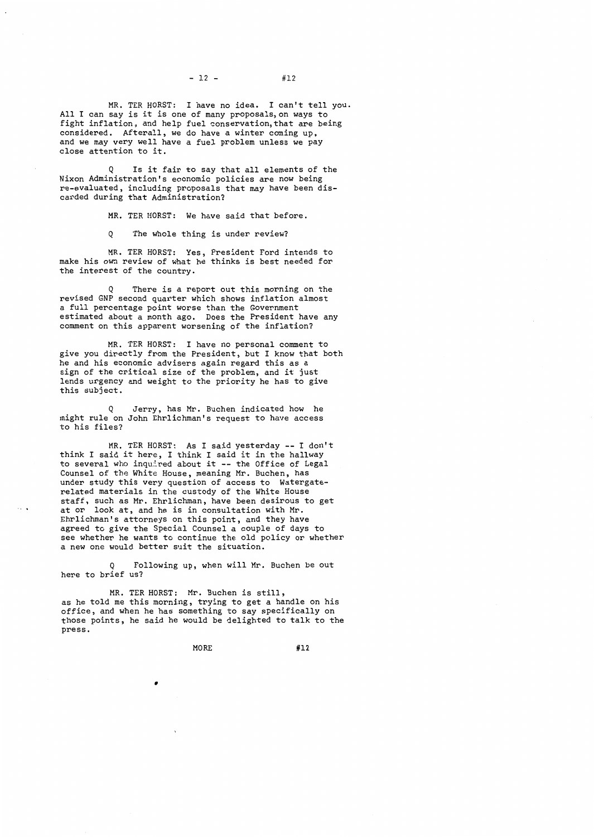$- 12 - 412$ 

MR. TER HORST: I have no idea. I can't tell you. All I can say is it is one of many proposals,on ways to fight inflation, and help fuel conservation,that are being considered. Afterall, we do have a winter coming up, and we may very well have a fuel problem unless we pay close attention to it.

Is it fair to say that all elements of the Nixon Administration's economic policies are now being re-evaluated, including proposals that may have been discarded during that Administration?

MR. TER HORST: We have said that before.

Q The whole thing is under review?

MR. TER HORST: Yes, President Ford intends to make his own review of what he thinks is best needed for the interest of the country.

There is a report out this morning on the revised GNP second quarter which shows inflation almost a full percentage point worse than the Government estimated about a month ago. Does the President have any comment on this apparent worsening of the inflation?

MR. TER HORST: I have no personal comment to give you directly from the President, but I know that both he and his economic advisers again regard this as a sign of the critical size of the problem, and it just lends urgency and weight to the priority he has to give this subject.

Jerry, has Mr. Buchen indicated how he might rule on John Ehrlichman's request to have access to his files?

MR. TER HORST: As I said yesterday -- I don't think I said it here, I think I said it in the hallway to several who inquired about it -- the Office of Legal Counsel of the White House, meaning Mr. Buchen, has under study this very question of access to Watergaterelated materials in the custody of the White House staff, such as Mr. Ehrlichman, have been desirous to get at or look at, and he is in consultation with Mr. Ehrlichman's attorneys on this point, and they have agreed to give the Special Counsel a couple of days to see whether he wants to continue the old policy or whether a new one would better suit the situation.

 $\ddotsc$ 

Following up, when will Mr. Buchen be out here to brief us?

MR. TER HORST: Mr. Buchen is still, as he told me this morning, trying to get a handle on his office, and when he has something to say specifically on those points, he said he would be delighted to talk to the press.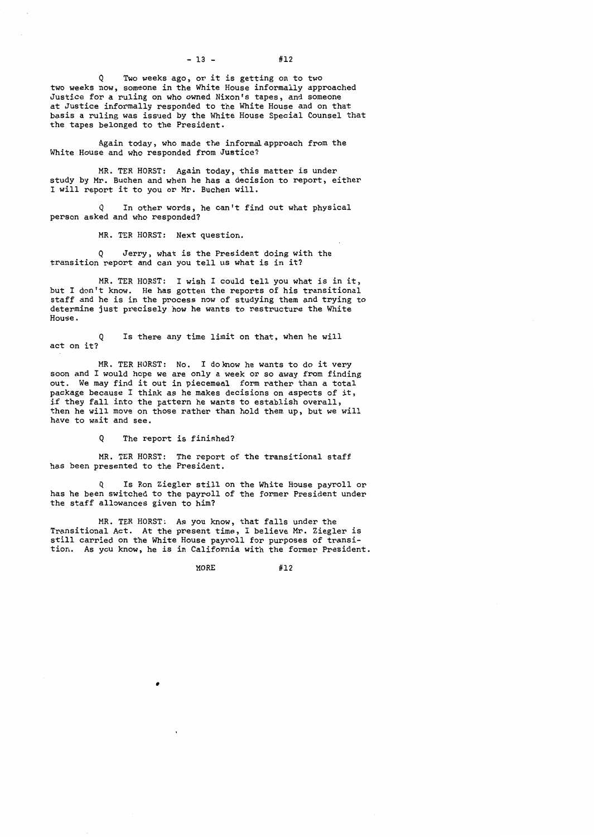Two weeks ago, or it is getting on to two two weeks now, someone in the White House informally approached Justice for a ruling on who owned Nixon's tapes, and someone at Justice informally responded to the White House and on that basis a ruling was issued by the White House Special Counsel that the tapes belonged to the President.

Again today, who made the informal approach from the White House and who responded from Justice?

MR. TER HORST: Again today, this matter is under study by Mr. Buchen and when he has a decision to report, either I will report it to you or Mr. Buchen will.

Q In other words, he can't find out what physical person asked and who responded?

MR. TER HORST: Next question.

Q Jerry, what is the President doing with the transition report and can you tell us what is in it?

MR. TER HORST: I wish I could tell you what is in it, but I don't know. He has gotten the reports of his transitional staff and he is in the process now of studying them and trying to determine just precisely how he wants to restructure the White House.

Q act on it? Is there any time limit on that, when he will

MR. TER HORST: No. I doknow he wants to do it very soon and I would hope we are only a week or so away from finding out. We may find it out in piecemeal form rather than a total package because I think as he makes decisions on aspects of it, if they fall into the pattern he wants to establish overall, then he will move on those rather than hold them up, but we will have to wait and see.

Q The report is finished?

MR. TER HORST: The report of the transitional staff has been presented to the President.

Is Ron Ziegler still on the White House payroll or has he been switched to the payroll of the former President under the staff allowances given to him?

MR. TER HORST: As you know, that falls under the Transitional Act. At the present time, I believe Mr. Ziegler is still carried on the White House payroll for purposes of transition. As you know, he is in California with the former President.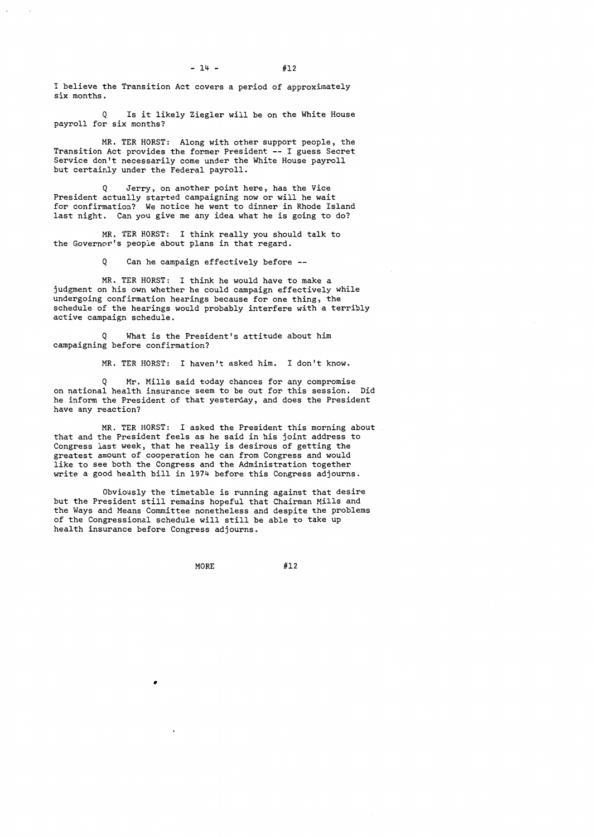I believe the Transition Act covers a period of approximately six months.

Q Is it likely Ziegler will be on the White House payroll for six months?

MR. TER HORST: Along with other support people, the Transition Act provides the former President -- I guess Secret Service don't necessarily come under the White House payroll but certainly under the Federal payroll.

Jerry, on another point here, has the Vice President actually started campaigning now or will he wait for confirmation? We notice he went to dinner in Rhode Island last night. Can you give me any idea what he is going to do?

MR. TER HORST: I think really you should talk to the Governor's people about plans in that regard.

Q Can he campaign effectively before

MR. TER HORST: I think he would have to make a judgment on his own whether he could campaign effectively while undergoing confirmation hearings because for one thing, the schedule of the hearings would probably interfere with a terribly active campaign schedule.

Q What is the President's attitude about him campaigning before confirmation?

MR. TER HORST: I haven't asked him. I don't know.

Q Mr. Mills said today chances for any compromise on national health insurance seem to be out for this session. Did he inform the President of that yesterday, and does the President have any reaction?

MR. TER HORST: I asked the President this morning about that and the President feels as he said in his joint address to Congress last week, that he really is desirous of getting the greatest amount of cooperation he can from Congress and would like to see both the Congress and the Administration together write a good health bill in 1974 before this Congress adjourns.

Obviously the timetable is running against that desire but the President still remains hopeful that Chairman Mills and the Ways and Means Committee nonetheless and despite the problems of the Congressional schedule will still be able to take up health insurance before Congress adjourns.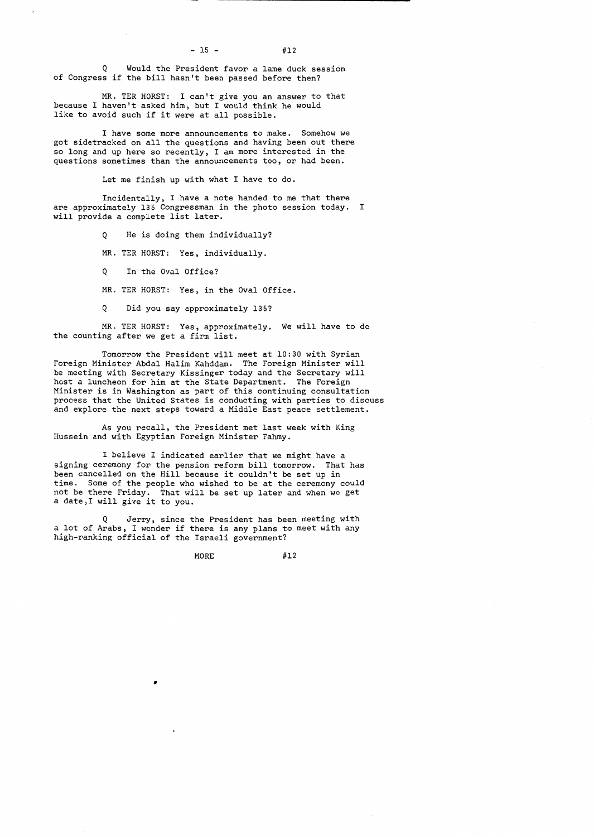$- 15 - 412$ 

Q Would the President favor a lame duck session of Congress if the bill hasn't been passed before then?

MR. TER HORST: I can't give you an answer to that because I haven't asked him, but I would think he would like to avoid such if *it* were at all possible.

I have some more announcements to make. Somehow we got sidetracked on all the questions and having been out there so long and up here so recently, I am more interested in the questions sometimes than the announcements too, or had been.

Let me finish up with what I have to do.

Incidentally, I have a note handed to me that there are approximately 135 Congressman in the photo session today. I will provide a complete list later.

Q He *is* doing them individually?

MR. TER HORST: Yes, individually.

Q In the Oval Office?

MR. TER HORST: Yes, in the Oval Office.

Q *Did* you say approximately 135?

MR. TER HORST: Yes, approximately. We will have to do the counting after we get a firm list.

Tomorrow the President will meet at 10:30 with Syrian Foreign Minister Abdal Halim Kahddam. The Foreign Minister will be meeting with Secretary Kissinger today and the Secretary will host a luncheon for him at the State Department. The Foreign Minister *is* in Washington as part of this continuing consultation process that the United States *is* conducting with parties to discuss and explore the next steps toward a Middle East peace settlement.

As you recall, the President met last week with King Hussein and with Egyptian Foreign Minister Fahmy.

I believe I indicated earlier that we might have a signing ceremony for the pension reform bill tomorrow. That has been cancelled on the Hill because it couldn't be set up in *time.* Some of the people who wished to be at the ceremony could not be there Friday. That will be set up later and when we get a date,! will give it to you.

Jerry, since the President has been meeting with a lot of Arabs, I wonder if there is any plans to meet with any high-ranking official of the Israeli government?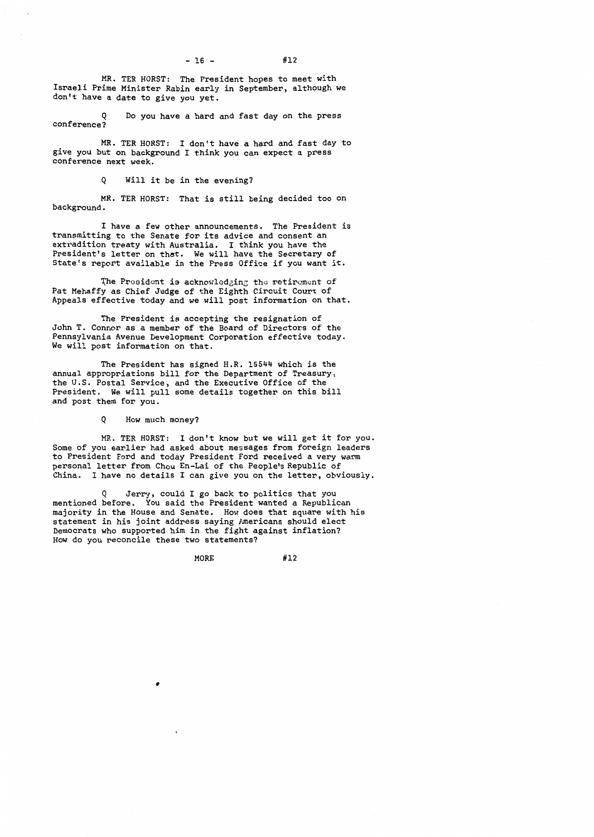$- 16 \#12$ 

MR. TER HORST: The President hopes to meet with Israeli Prime Minister Rabin early in September, although we don't have a date to give you yet.

Do you have a hard and fast day on the press conference?

MR. TER HORST: I don't have a hard and fast day to give you but on background I think you can expect a press conference next week.

Q Will it be in the evening?

MR. TER HORST: That is still being decided too on background.

I have a few other announcements. The President is transmitting to the Senate for its advice and consent an extradition treaty with Australia. I think you have the President's letter on that. We will have the Secretary of State's report available *in* the Press Office if you want it.

The President is acknowledging the retirement of Pat Mehaffy as Chief Judge of the Eighth Circuit Court of Appeals effective today and we will post information on that.

The President is accepting the resignation of John T. Connor as a member of the Board of Directors of the Pennsylvania Avenue Development Corporation effective today. We will post information on that.

The President has signed H.R. 15544 which is the annual appropriations bill for the Department of Treasury, the U.S. Postal Service, and the Executive Office of the President. We will pull some details together on this b We will pull some details together on this bill and post them for you.

Q How much money?

MR. TER HORST: I don't know but we will get *it* for you. Some of you earlier had asked about messages from foreign leaders to President Ford and today President Ford received a very warm personal letter from Chou En-Lai of the People's Republic of China. I have no details I can give you on the letter, obviously.

Jerry, could I go back to politics that you mentioned before. You said the President wanted a Republican majority in the House and Senate. How does that square with his statement in his joint address saying Americans should elect Democrats who supported him in the fight against inflation? How do you reconcile these two statements?